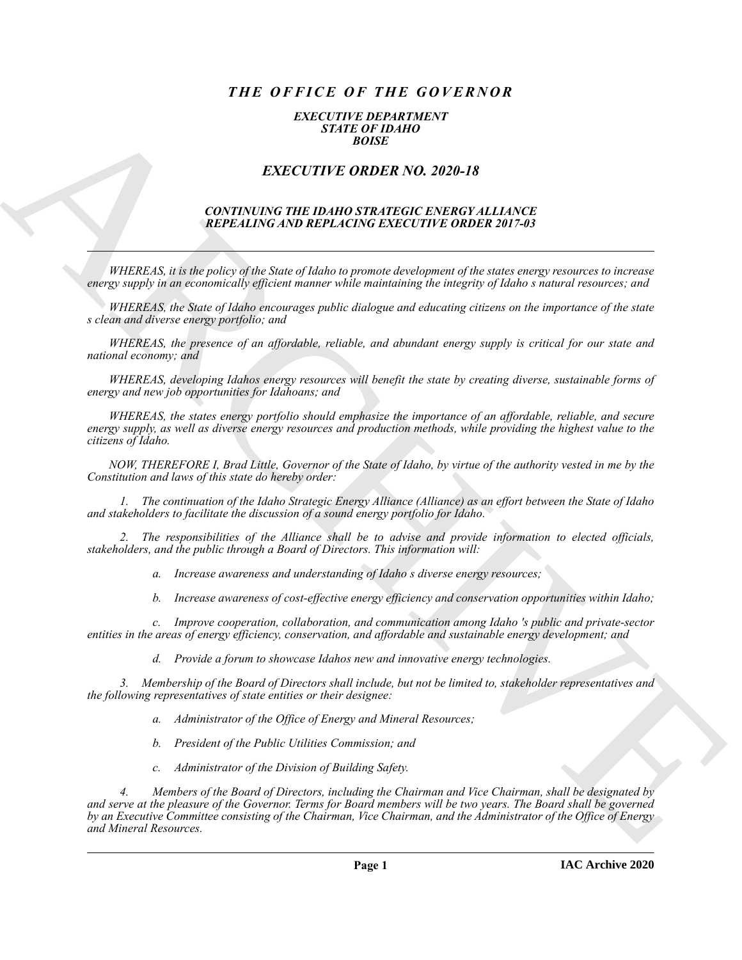# *THE OFFICE OF THE GOVERNOR*

#### *EXECUTIVE DEPARTMENT STATE OF IDAHO BOISE*

## *EXECUTIVE ORDER NO. 2020-18*

#### *CONTINUING THE IDAHO STRATEGIC ENERGY ALLIANCE REPEALING AND REPLACING EXECUTIVE ORDER 2017-03*

*WHEREAS, it is the policy of the State of Idaho to promote development of the states energy resources to increase energy supply in an economically efficient manner while maintaining the integrity of Idaho s natural resources; and* 

*WHEREAS, the State of Idaho encourages public dialogue and educating citizens on the importance of the state s clean and diverse energy portfolio; and* 

*WHEREAS, the presence of an affordable, reliable, and abundant energy supply is critical for our state and national economy; and* 

*WHEREAS, developing Idahos energy resources will benefit the state by creating diverse, sustainable forms of energy and new job opportunities for Idahoans; and* 

*WHEREAS, the states energy portfolio should emphasize the importance of an affordable, reliable, and secure energy supply, as well as diverse energy resources and production methods, while providing the highest value to the citizens of Idaho.* 

*NOW, THEREFORE I, Brad Little, Governor of the State of Idaho, by virtue of the authority vested in me by the Constitution and laws of this state do hereby order:* 

*1. The continuation of the Idaho Strategic Energy Alliance (Alliance) as an effort between the State of Idaho and stakeholders to facilitate the discussion of a sound energy portfolio for Idaho.*

*2. The responsibilities of the Alliance shall be to advise and provide information to elected officials, stakeholders, and the public through a Board of Directors. This information will:*

*a. Increase awareness and understanding of Idaho s diverse energy resources;*

*b. Increase awareness of cost-effective energy efficiency and conservation opportunities within Idaho;*

*c. Improve cooperation, collaboration, and communication among Idaho 's public and private-sector entities in the areas of energy efficiency, conservation, and affordable and sustainable energy development; and*

*d. Provide a forum to showcase Idahos new and innovative energy technologies.*

*3. Membership of the Board of Directors shall include, but not be limited to, stakeholder representatives and the following representatives of state entities or their designee:*

*a. Administrator of the Office of Energy and Mineral Resources;*

- *b. President of the Public Utilities Commission; and*
- *c. Administrator of the Division of Building Safety.*

EXACTLY THE ORDER NO. 2020-18<br>
EXACTLY THE ORDER NO. 2020-18<br>
EXACTLY THE ORDER NO. 2020-18<br>
CONTRAGING THE IDANCE STRATEGIC ENTRE CHIEF (FILENCE)<br>
THE CASE IN EXACTLY THE ORDER IN CASE IN THIS CONSULTS IN THE CASE IN THE *4. Members of the Board of Directors, including the Chairman and Vice Chairman, shall be designated by and serve at the pleasure of the Governor. Terms for Board members will be two years. The Board shall be governed by an Executive Committee consisting of the Chairman, Vice Chairman, and the Administrator of the Office of Energy and Mineral Resources.*